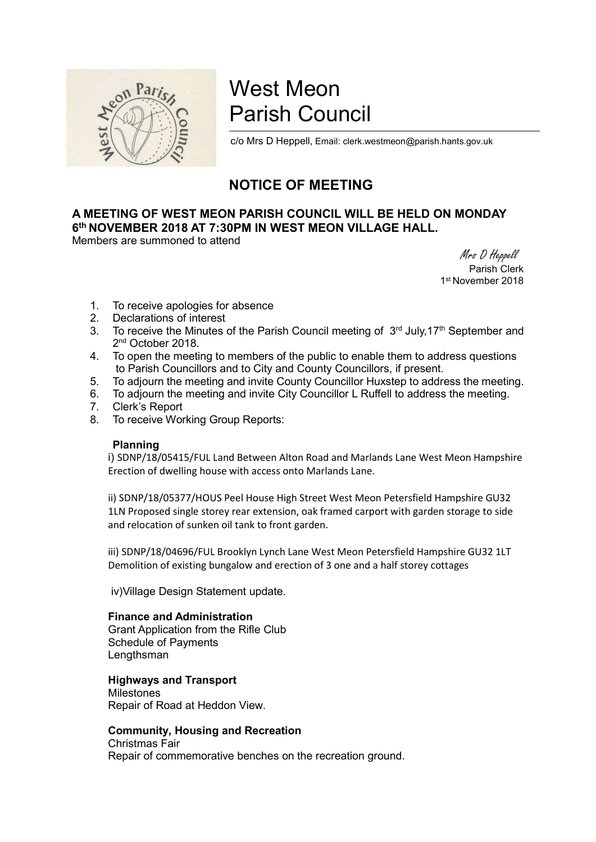

# West Meon Parish Council

c/o Mrs D Heppell, Email: clerk.westmeon@parish.hants.gov.uk

# NOTICE OF MEETING

# A MEETING OF WEST MEON PARISH COUNCIL WILL BE HELD ON MONDAY 6<sup>th</sup> NOVEMBER 2018 AT 7:30PM IN WEST MEON VILLAGE HALL.

Members are summoned to attend

 Mrs D Heppell Parish Clerk 1 st November 2018

- 1. To receive apologies for absence
- 2. Declarations of interest
- 3. To receive the Minutes of the Parish Council meeting of  $3<sup>rd</sup>$  July, 17<sup>th</sup> September and 2<sup>nd</sup> October 2018.
- 4. To open the meeting to members of the public to enable them to address questions to Parish Councillors and to City and County Councillors, if present.
- 5. To adjourn the meeting and invite County Councillor Huxstep to address the meeting.
- 6. To adjourn the meeting and invite City Councillor L Ruffell to address the meeting.
- 7. Clerk's Report
- 8. To receive Working Group Reports:

#### Planning

i) SDNP/18/05415/FUL Land Between Alton Road and Marlands Lane West Meon Hampshire Erection of dwelling house with access onto Marlands Lane.

ii) SDNP/18/05377/HOUS Peel House High Street West Meon Petersfield Hampshire GU32 1LN Proposed single storey rear extension, oak framed carport with garden storage to side and relocation of sunken oil tank to front garden.

iii) SDNP/18/04696/FUL Brooklyn Lynch Lane West Meon Petersfield Hampshire GU32 1LT Demolition of existing bungalow and erection of 3 one and a half storey cottages

iv)Village Design Statement update.

### Finance and Administration

Grant Application from the Rifle Club Schedule of Payments Lengthsman

## Highways and Transport

Milestones Repair of Road at Heddon View.

## Community, Housing and Recreation

Christmas Fair Repair of commemorative benches on the recreation ground.